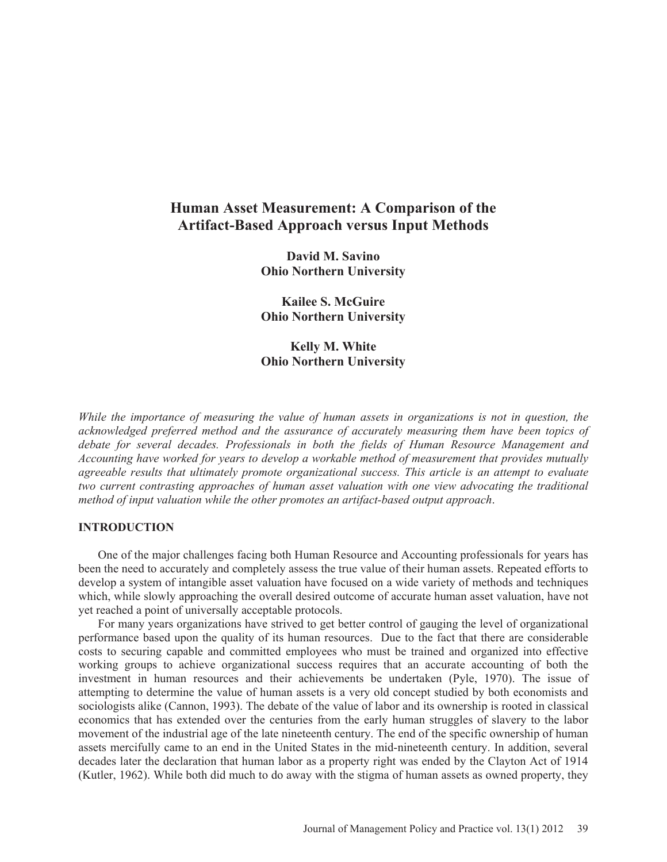# **Human Asset Measurement: A Comparison of the Artifact-Based Approach versus Input Methods**

**David M. Savino Ohio Northern University** 

**Kailee S. McGuire Ohio Northern University** 

**Kelly M. White Ohio Northern University** 

*While the importance of measuring the value of human assets in organizations is not in question, the acknowledged preferred method and the assurance of accurately measuring them have been topics of debate for several decades. Professionals in both the fields of Human Resource Management and Accounting have worked for years to develop a workable method of measurement that provides mutually agreeable results that ultimately promote organizational success. This article is an attempt to evaluate two current contrasting approaches of human asset valuation with one view advocating the traditional method of input valuation while the other promotes an artifact-based output approach*.

## **INTRODUCTION**

One of the major challenges facing both Human Resource and Accounting professionals for years has been the need to accurately and completely assess the true value of their human assets. Repeated efforts to develop a system of intangible asset valuation have focused on a wide variety of methods and techniques which, while slowly approaching the overall desired outcome of accurate human asset valuation, have not yet reached a point of universally acceptable protocols.

For many years organizations have strived to get better control of gauging the level of organizational performance based upon the quality of its human resources. Due to the fact that there are considerable costs to securing capable and committed employees who must be trained and organized into effective working groups to achieve organizational success requires that an accurate accounting of both the investment in human resources and their achievements be undertaken (Pyle, 1970). The issue of attempting to determine the value of human assets is a very old concept studied by both economists and sociologists alike (Cannon, 1993). The debate of the value of labor and its ownership is rooted in classical economics that has extended over the centuries from the early human struggles of slavery to the labor movement of the industrial age of the late nineteenth century. The end of the specific ownership of human assets mercifully came to an end in the United States in the mid-nineteenth century. In addition, several decades later the declaration that human labor as a property right was ended by the Clayton Act of 1914 (Kutler, 1962). While both did much to do away with the stigma of human assets as owned property, they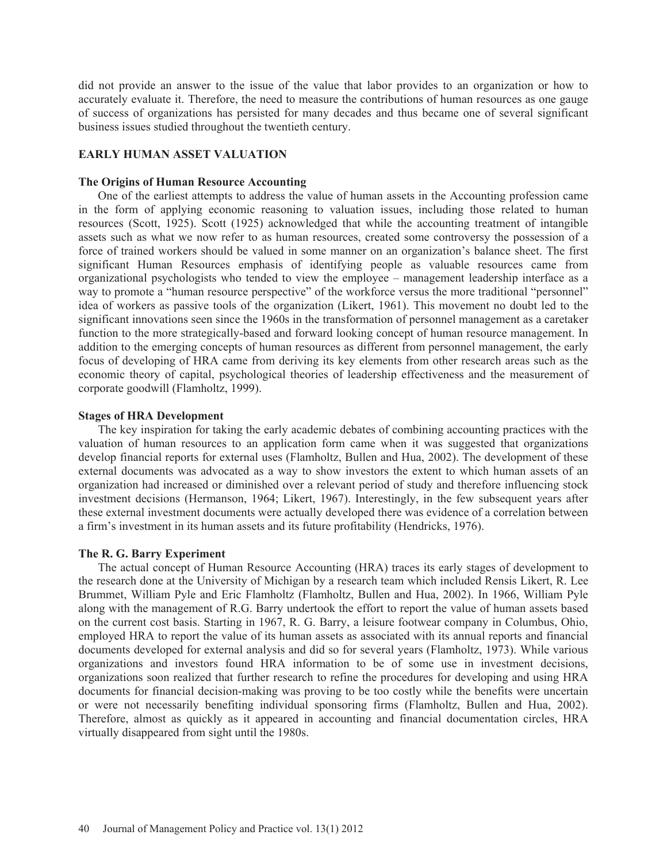did not provide an answer to the issue of the value that labor provides to an organization or how to accurately evaluate it. Therefore, the need to measure the contributions of human resources as one gauge of success of organizations has persisted for many decades and thus became one of several significant business issues studied throughout the twentieth century.

## **EARLY HUMAN ASSET VALUATION**

#### **The Origins of Human Resource Accounting**

One of the earliest attempts to address the value of human assets in the Accounting profession came in the form of applying economic reasoning to valuation issues, including those related to human resources (Scott, 1925). Scott (1925) acknowledged that while the accounting treatment of intangible assets such as what we now refer to as human resources, created some controversy the possession of a force of trained workers should be valued in some manner on an organization's balance sheet. The first significant Human Resources emphasis of identifying people as valuable resources came from organizational psychologists who tended to view the employee – management leadership interface as a way to promote a "human resource perspective" of the workforce versus the more traditional "personnel" idea of workers as passive tools of the organization (Likert, 1961). This movement no doubt led to the significant innovations seen since the 1960s in the transformation of personnel management as a caretaker function to the more strategically-based and forward looking concept of human resource management. In addition to the emerging concepts of human resources as different from personnel management, the early focus of developing of HRA came from deriving its key elements from other research areas such as the economic theory of capital, psychological theories of leadership effectiveness and the measurement of corporate goodwill (Flamholtz, 1999).

## **Stages of HRA Development**

The key inspiration for taking the early academic debates of combining accounting practices with the valuation of human resources to an application form came when it was suggested that organizations develop financial reports for external uses (Flamholtz, Bullen and Hua, 2002). The development of these external documents was advocated as a way to show investors the extent to which human assets of an organization had increased or diminished over a relevant period of study and therefore influencing stock investment decisions (Hermanson, 1964; Likert, 1967). Interestingly, in the few subsequent years after these external investment documents were actually developed there was evidence of a correlation between a firm's investment in its human assets and its future profitability (Hendricks, 1976).

## **The R. G. Barry Experiment**

The actual concept of Human Resource Accounting (HRA) traces its early stages of development to the research done at the University of Michigan by a research team which included Rensis Likert, R. Lee Brummet, William Pyle and Eric Flamholtz (Flamholtz, Bullen and Hua, 2002). In 1966, William Pyle along with the management of R.G. Barry undertook the effort to report the value of human assets based on the current cost basis. Starting in 1967, R. G. Barry, a leisure footwear company in Columbus, Ohio, employed HRA to report the value of its human assets as associated with its annual reports and financial documents developed for external analysis and did so for several years (Flamholtz, 1973). While various organizations and investors found HRA information to be of some use in investment decisions, organizations soon realized that further research to refine the procedures for developing and using HRA documents for financial decision-making was proving to be too costly while the benefits were uncertain or were not necessarily benefiting individual sponsoring firms (Flamholtz, Bullen and Hua, 2002). Therefore, almost as quickly as it appeared in accounting and financial documentation circles, HRA virtually disappeared from sight until the 1980s.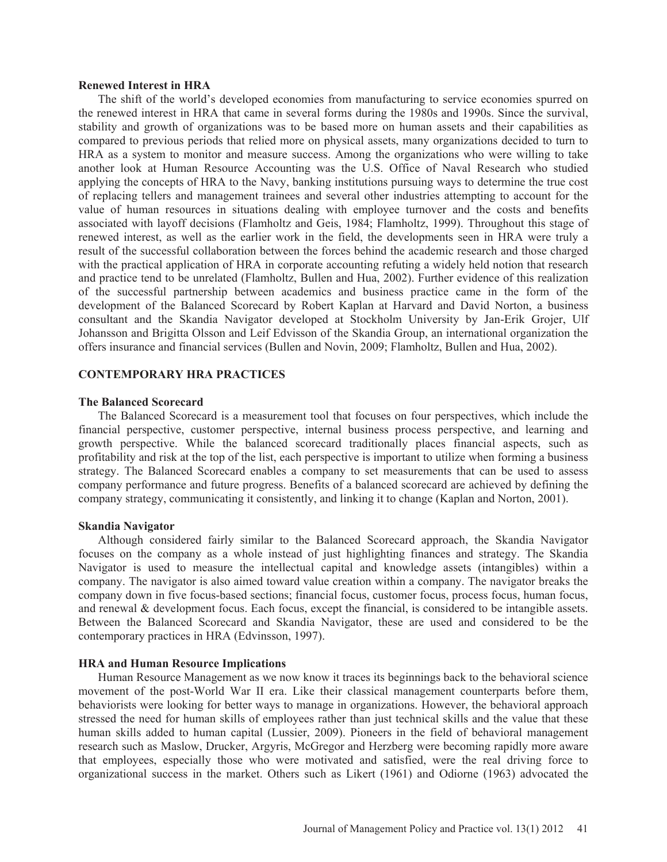#### **Renewed Interest in HRA**

The shift of the world's developed economies from manufacturing to service economies spurred on the renewed interest in HRA that came in several forms during the 1980s and 1990s. Since the survival, stability and growth of organizations was to be based more on human assets and their capabilities as compared to previous periods that relied more on physical assets, many organizations decided to turn to HRA as a system to monitor and measure success. Among the organizations who were willing to take another look at Human Resource Accounting was the U.S. Office of Naval Research who studied applying the concepts of HRA to the Navy, banking institutions pursuing ways to determine the true cost of replacing tellers and management trainees and several other industries attempting to account for the value of human resources in situations dealing with employee turnover and the costs and benefits associated with layoff decisions (Flamholtz and Geis, 1984; Flamholtz, 1999). Throughout this stage of renewed interest, as well as the earlier work in the field, the developments seen in HRA were truly a result of the successful collaboration between the forces behind the academic research and those charged with the practical application of HRA in corporate accounting refuting a widely held notion that research and practice tend to be unrelated (Flamholtz, Bullen and Hua, 2002). Further evidence of this realization of the successful partnership between academics and business practice came in the form of the development of the Balanced Scorecard by Robert Kaplan at Harvard and David Norton, a business consultant and the Skandia Navigator developed at Stockholm University by Jan-Erik Grojer, Ulf Johansson and Brigitta Olsson and Leif Edvisson of the Skandia Group, an international organization the offers insurance and financial services (Bullen and Novin, 2009; Flamholtz, Bullen and Hua, 2002).

## **CONTEMPORARY HRA PRACTICES**

## **The Balanced Scorecard**

The Balanced Scorecard is a measurement tool that focuses on four perspectives, which include the financial perspective, customer perspective, internal business process perspective, and learning and growth perspective. While the balanced scorecard traditionally places financial aspects, such as profitability and risk at the top of the list, each perspective is important to utilize when forming a business strategy. The Balanced Scorecard enables a company to set measurements that can be used to assess company performance and future progress. Benefits of a balanced scorecard are achieved by defining the company strategy, communicating it consistently, and linking it to change (Kaplan and Norton, 2001).

#### **Skandia Navigator**

Although considered fairly similar to the Balanced Scorecard approach, the Skandia Navigator focuses on the company as a whole instead of just highlighting finances and strategy. The Skandia Navigator is used to measure the intellectual capital and knowledge assets (intangibles) within a company. The navigator is also aimed toward value creation within a company. The navigator breaks the company down in five focus-based sections; financial focus, customer focus, process focus, human focus, and renewal & development focus. Each focus, except the financial, is considered to be intangible assets. Between the Balanced Scorecard and Skandia Navigator, these are used and considered to be the contemporary practices in HRA (Edvinsson, 1997).

#### **HRA and Human Resource Implications**

Human Resource Management as we now know it traces its beginnings back to the behavioral science movement of the post-World War II era. Like their classical management counterparts before them, behaviorists were looking for better ways to manage in organizations. However, the behavioral approach stressed the need for human skills of employees rather than just technical skills and the value that these human skills added to human capital (Lussier, 2009). Pioneers in the field of behavioral management research such as Maslow, Drucker, Argyris, McGregor and Herzberg were becoming rapidly more aware that employees, especially those who were motivated and satisfied, were the real driving force to organizational success in the market. Others such as Likert (1961) and Odiorne (1963) advocated the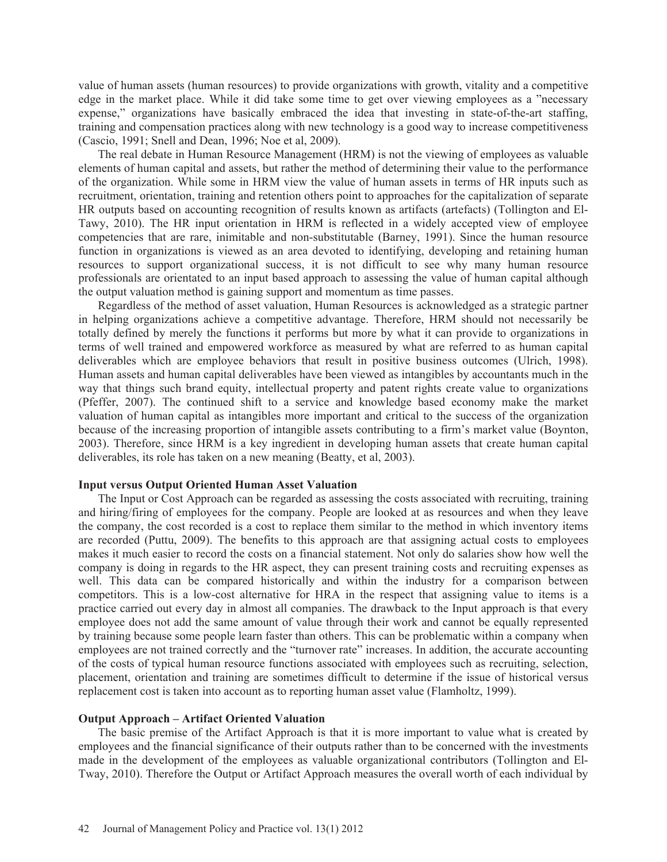value of human assets (human resources) to provide organizations with growth, vitality and a competitive edge in the market place. While it did take some time to get over viewing employees as a "necessary expense," organizations have basically embraced the idea that investing in state-of-the-art staffing, training and compensation practices along with new technology is a good way to increase competitiveness (Cascio, 1991; Snell and Dean, 1996; Noe et al, 2009).

The real debate in Human Resource Management (HRM) is not the viewing of employees as valuable elements of human capital and assets, but rather the method of determining their value to the performance of the organization. While some in HRM view the value of human assets in terms of HR inputs such as recruitment, orientation, training and retention others point to approaches for the capitalization of separate HR outputs based on accounting recognition of results known as artifacts (artefacts) (Tollington and El-Tawy, 2010). The HR input orientation in HRM is reflected in a widely accepted view of employee competencies that are rare, inimitable and non-substitutable (Barney, 1991). Since the human resource function in organizations is viewed as an area devoted to identifying, developing and retaining human resources to support organizational success, it is not difficult to see why many human resource professionals are orientated to an input based approach to assessing the value of human capital although the output valuation method is gaining support and momentum as time passes.

Regardless of the method of asset valuation, Human Resources is acknowledged as a strategic partner in helping organizations achieve a competitive advantage. Therefore, HRM should not necessarily be totally defined by merely the functions it performs but more by what it can provide to organizations in terms of well trained and empowered workforce as measured by what are referred to as human capital deliverables which are employee behaviors that result in positive business outcomes (Ulrich, 1998). Human assets and human capital deliverables have been viewed as intangibles by accountants much in the way that things such brand equity, intellectual property and patent rights create value to organizations (Pfeffer, 2007). The continued shift to a service and knowledge based economy make the market valuation of human capital as intangibles more important and critical to the success of the organization because of the increasing proportion of intangible assets contributing to a firm's market value (Boynton, 2003). Therefore, since HRM is a key ingredient in developing human assets that create human capital deliverables, its role has taken on a new meaning (Beatty, et al, 2003).

## **Input versus Output Oriented Human Asset Valuation**

The Input or Cost Approach can be regarded as assessing the costs associated with recruiting, training and hiring/firing of employees for the company. People are looked at as resources and when they leave the company, the cost recorded is a cost to replace them similar to the method in which inventory items are recorded (Puttu, 2009). The benefits to this approach are that assigning actual costs to employees makes it much easier to record the costs on a financial statement. Not only do salaries show how well the company is doing in regards to the HR aspect, they can present training costs and recruiting expenses as well. This data can be compared historically and within the industry for a comparison between competitors. This is a low-cost alternative for HRA in the respect that assigning value to items is a practice carried out every day in almost all companies. The drawback to the Input approach is that every employee does not add the same amount of value through their work and cannot be equally represented by training because some people learn faster than others. This can be problematic within a company when employees are not trained correctly and the "turnover rate" increases. In addition, the accurate accounting of the costs of typical human resource functions associated with employees such as recruiting, selection, placement, orientation and training are sometimes difficult to determine if the issue of historical versus replacement cost is taken into account as to reporting human asset value (Flamholtz, 1999).

#### **Output Approach – Artifact Oriented Valuation**

The basic premise of the Artifact Approach is that it is more important to value what is created by employees and the financial significance of their outputs rather than to be concerned with the investments made in the development of the employees as valuable organizational contributors (Tollington and El-Tway, 2010). Therefore the Output or Artifact Approach measures the overall worth of each individual by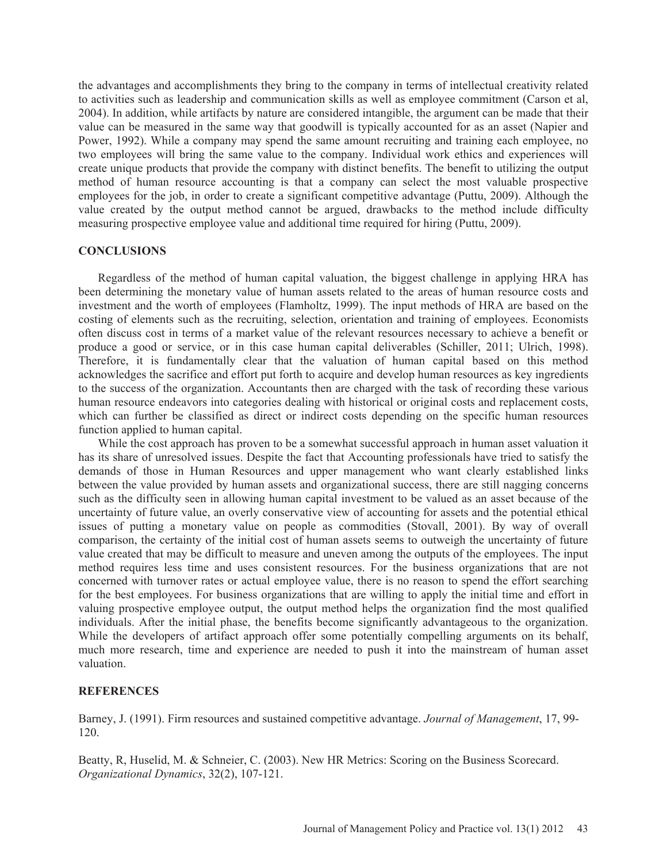the advantages and accomplishments they bring to the company in terms of intellectual creativity related to activities such as leadership and communication skills as well as employee commitment (Carson et al, 2004). In addition, while artifacts by nature are considered intangible, the argument can be made that their value can be measured in the same way that goodwill is typically accounted for as an asset (Napier and Power, 1992). While a company may spend the same amount recruiting and training each employee, no two employees will bring the same value to the company. Individual work ethics and experiences will create unique products that provide the company with distinct benefits. The benefit to utilizing the output method of human resource accounting is that a company can select the most valuable prospective employees for the job, in order to create a significant competitive advantage (Puttu, 2009). Although the value created by the output method cannot be argued, drawbacks to the method include difficulty measuring prospective employee value and additional time required for hiring (Puttu, 2009).

## **CONCLUSIONS**

Regardless of the method of human capital valuation, the biggest challenge in applying HRA has been determining the monetary value of human assets related to the areas of human resource costs and investment and the worth of employees (Flamholtz, 1999). The input methods of HRA are based on the costing of elements such as the recruiting, selection, orientation and training of employees. Economists often discuss cost in terms of a market value of the relevant resources necessary to achieve a benefit or produce a good or service, or in this case human capital deliverables (Schiller, 2011; Ulrich, 1998). Therefore, it is fundamentally clear that the valuation of human capital based on this method acknowledges the sacrifice and effort put forth to acquire and develop human resources as key ingredients to the success of the organization. Accountants then are charged with the task of recording these various human resource endeavors into categories dealing with historical or original costs and replacement costs, which can further be classified as direct or indirect costs depending on the specific human resources function applied to human capital.

While the cost approach has proven to be a somewhat successful approach in human asset valuation it has its share of unresolved issues. Despite the fact that Accounting professionals have tried to satisfy the demands of those in Human Resources and upper management who want clearly established links between the value provided by human assets and organizational success, there are still nagging concerns such as the difficulty seen in allowing human capital investment to be valued as an asset because of the uncertainty of future value, an overly conservative view of accounting for assets and the potential ethical issues of putting a monetary value on people as commodities (Stovall, 2001). By way of overall comparison, the certainty of the initial cost of human assets seems to outweigh the uncertainty of future value created that may be difficult to measure and uneven among the outputs of the employees. The input method requires less time and uses consistent resources. For the business organizations that are not concerned with turnover rates or actual employee value, there is no reason to spend the effort searching for the best employees. For business organizations that are willing to apply the initial time and effort in valuing prospective employee output, the output method helps the organization find the most qualified individuals. After the initial phase, the benefits become significantly advantageous to the organization. While the developers of artifact approach offer some potentially compelling arguments on its behalf, much more research, time and experience are needed to push it into the mainstream of human asset valuation.

## **REFERENCES**

Barney, J. (1991). Firm resources and sustained competitive advantage. *Journal of Management*, 17, 99- 120.

Beatty, R, Huselid, M. & Schneier, C. (2003). New HR Metrics: Scoring on the Business Scorecard. *Organizational Dynamics*, 32(2), 107-121.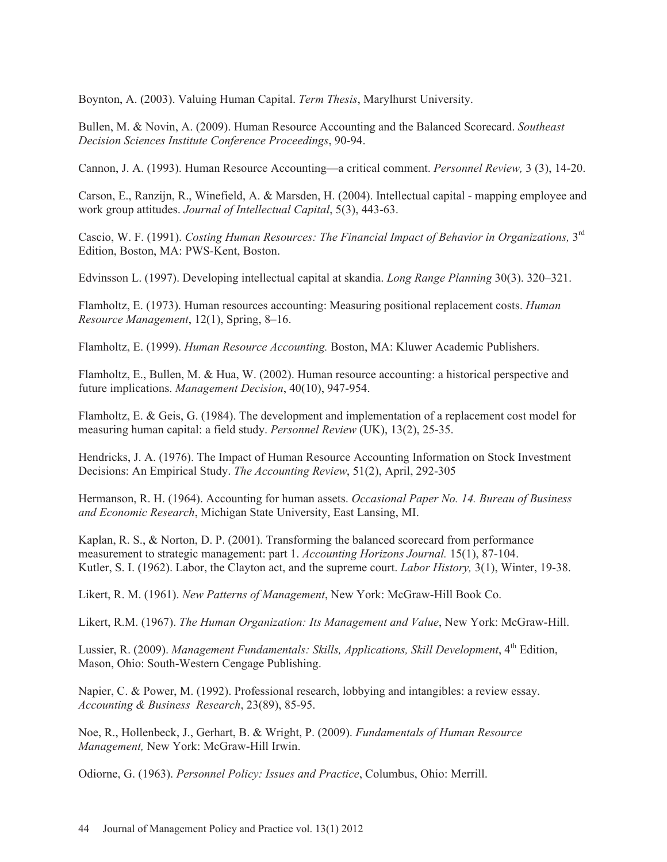Boynton, A. (2003). Valuing Human Capital. *Term Thesis*, Marylhurst University.

Bullen, M. & Novin, A. (2009). Human Resource Accounting and the Balanced Scorecard. *Southeast Decision Sciences Institute Conference Proceedings*, 90-94.

Cannon, J. A. (1993). Human Resource Accounting—a critical comment. *Personnel Review,* 3 (3), 14-20.

Carson, E., Ranzijn, R., Winefield, A. & Marsden, H. (2004). Intellectual capital - mapping employee and work group attitudes. *Journal of Intellectual Capital*, 5(3), 443-63.

Cascio, W. F. (1991). *Costing Human Resources: The Financial Impact of Behavior in Organizations,* 3rd Edition, Boston, MA: PWS-Kent, Boston.

Edvinsson L. (1997). Developing intellectual capital at skandia. *Long Range Planning* 30(3). 320–321.

Flamholtz, E. (1973). Human resources accounting: Measuring positional replacement costs. *Human Resource Management*, 12(1), Spring, 8–16.

Flamholtz, E. (1999). *Human Resource Accounting.* Boston, MA: Kluwer Academic Publishers.

Flamholtz, E., Bullen, M. & Hua, W. (2002). Human resource accounting: a historical perspective and future implications. *Management Decision*, 40(10), 947-954.

Flamholtz, E. & Geis, G. (1984). The development and implementation of a replacement cost model for measuring human capital: a field study. *Personnel Review* (UK), 13(2), 25-35.

Hendricks, J. A. (1976). The Impact of Human Resource Accounting Information on Stock Investment Decisions: An Empirical Study. *The Accounting Review*, 51(2), April, 292-305

Hermanson, R. H. (1964). Accounting for human assets. *Occasional Paper No. 14. Bureau of Business and Economic Research*, Michigan State University, East Lansing, MI.

Kaplan, R. S., & Norton, D. P. (2001). Transforming the balanced scorecard from performance measurement to strategic management: part 1. *Accounting Horizons Journal.* 15(1), 87-104. Kutler, S. I. (1962). Labor, the Clayton act, and the supreme court. *Labor History,* 3(1), Winter, 19-38.

Likert, R. M. (1961). *New Patterns of Management*, New York: McGraw-Hill Book Co.

Likert, R.M. (1967). *The Human Organization: Its Management and Value*, New York: McGraw-Hill.

Lussier, R. (2009). *Management Fundamentals: Skills, Applications, Skill Development*, 4<sup>th</sup> Edition, Mason, Ohio: South-Western Cengage Publishing.

Napier, C. & Power, M. (1992). Professional research, lobbying and intangibles: a review essay. *Accounting & Business Research*, 23(89), 85-95.

Noe, R., Hollenbeck, J., Gerhart, B. & Wright, P. (2009). *Fundamentals of Human Resource Management,* New York: McGraw-Hill Irwin.

Odiorne, G. (1963). *Personnel Policy: Issues and Practice*, Columbus, Ohio: Merrill.